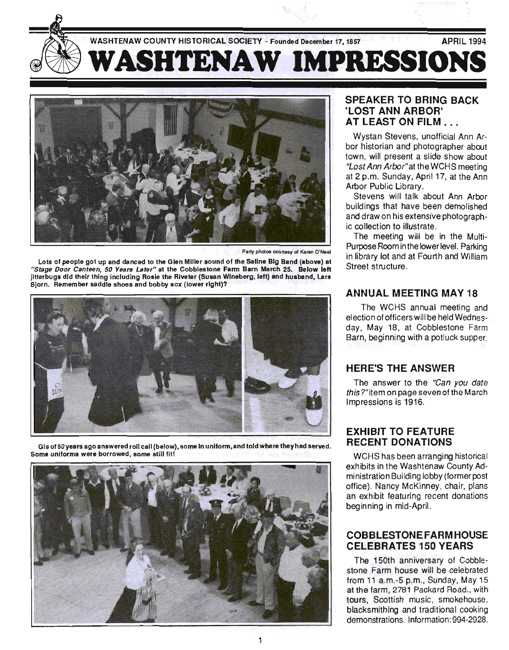



Party photos courtesy of Karen O'Neal

Lots of people got up and danced to the Glen Miller sound of the Saline Big Band (above) at the College Door Cabblestone Farm Barn March 25. Below left the College Door Cabblestone Farm Barn March 25. Below left the Cabble "Stage Door Canteen, 50 Years Later" at the Cobblestone Farm Barn March 25. Below left jitterbugs did their thing including Rosie the Riveter (Susan Wineberg, left) and husband, Lars<br>Bjorn. Remember saddle shoes and bobby sox (lower right)?



Some uniforms and a male editions of  $\mathbf{S}$  and  $\mathbf{S}$ 



# SPEAKER TO BRING BACK **COST ANN ARBOR'**<br>- OST ANN ARBOR'<br>- T LEAST ON FILM

Wystan Stevens, unofficial Ann Arborgan alevens, ununicidi Anni Ar or mstorian and priotographer about  $\frac{1}{2}$  will present a side show about at the WORSHEETING at 2 p.m. Sunday, April 17, at the Ann<br>Arbor Public Library, Stevens will talk about Ann Arbor.<br>Stevens will talk about Arbor Arbor.

building about Affilm Arbor<br>Alberta demonstration buildings that have been demolished and draw on his extensive photograph-<br>ic collection to illustrate.

The meeting will be in the Multi-**Purpose Room in the lower Room** in the lower level. Parking the lower level. Parking the lower level. Parking the lower level. And the lower level. And the lower level of the lower level. In the lower level. In the lower ui pose noomini lihe lower level. Parking<br>Library lot and William William in library lot and at Fourth and William<br>Street structure.

#### ANNUAL MEETING MAY 18

The WCHS annual meeting and  $\frac{1}{2}$  and  $\frac{1}{2}$  of  $\frac{1}{2}$  and  $\frac{1}{2}$  and  $\frac{1}{2}$  and  $\frac{1}{2}$  and  $\frac{1}{2}$  and  $\frac{1}{2}$  and  $\frac{1}{2}$  and  $\frac{1}{2}$  and  $\frac{1}{2}$  and  $\frac{1}{2}$  and  $\frac{1}{2}$  and  $\frac{1}{2}$  and  $\frac{1}{2}$  and  $\frac{1}{2}$  an edition of process with the factor research  $\sim$ day, May 18, at Cobblestone Farm<br>Barn, beginning with a potluck supper.

#### HERE'S THE ANSWER

 $T_{\text{max}}$  to the ligal you date. the answer to the Can you date this?"item on page seven of the March<br>Impressions is 1916.

# EXHIBIT TO FEATURE ANDII IV FEATURE<br>FOENT DONATIONS

 $\sim$ world has been arranging instoncal exhibits in the Washtenaw County Administration Building lobby (former post office). Nancy McKinney, chair, plans an exhibit featuring recent donations<br>beginning in mid-April.

#### COBBLESTONE FARM HOUSE CELEBRATES 150 YEARS

 $T_{\rm tot}$  150th anniversary of  $C_{\rm tot}$ The Tourn anniversary of Copplestone Farm house will be celebrated from  $11$  a.m.-5 p.m., Sunday, May  $15$ at the farm, 2781 Packard Road., with tours, Scottish music, smokehouse, blacksmithing and traditional cooking<br>demonstrations. Information: 994-2928.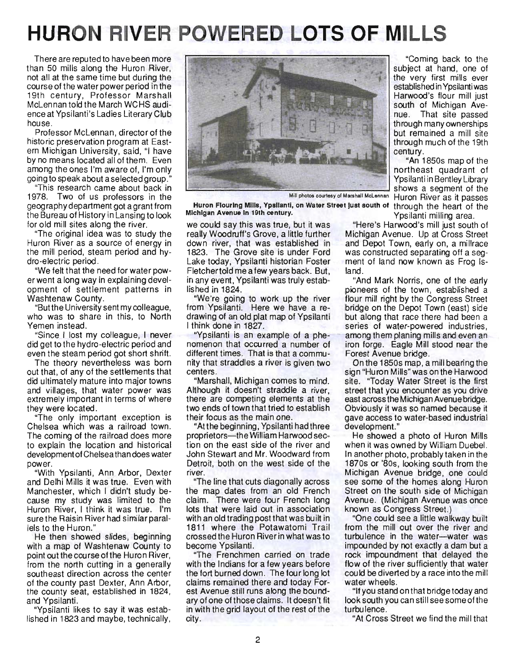# **HURON RIVER POWERED LOTS OF MILLS**

There are reputed to have been more than 50 mills along the Huron River, not all at the same time but during the cou rse of the water power period in the 19th century, Professor Marshall McLennan told the March WCHS audience at Ypsilanti's Ladies Literary Club house.

Professor McLennan, director of the historic preservation program at Eastern Michigan University, said, "I have by no means located all of them. Even among the ones I'm aware of, I'm only going to speak about a selected group."

"This research came about back in 1978. Two of us professors in the geog raphy department got a grant from the Bureau of History in Lansing to look for old mill sites along the river.

"The original idea was to study the Huron River as a source of energy in the mill period, steam period and hydro-electric period.

"We felt that the need for water power went a long way in explaining development of settlement patterns in Washtenaw County.

"But the University sent my colleague, who was to share in this, to North Yemen instead.

"Since I lost my colleague, I never did get to the hydro-electric period and even the steam period got short shrift.

The theory nevertheless was born out that, of any of the settlements that did ultimately mature into major towns and villages, that water power was extremely important in terms of where they were located.

"The only important exception is Chelsea which was a railroad town. The coming of the railroad does more to explain the location and historical development of Chelsea than does water power.

"With Ypsilanti, Ann Arbor, Dexter and Delhi Mills it was true. Even with Manchester, which I didn't study because my study was limited to the Huron River, I think it was true. I'm sure the Raisin River had similar parallels to the Huron."

He then showed slides, beginning with a map of Washtenaw County to point out the course of the Huron River, from the north cutting in a generally southeast direction across the center of the county past Dexter, Ann Arbor, the county seat, established in 1824, and Ypsilanti.

"Ypsilanti likes to say it was established in 1823 and maybe, technically,



Huron Flouring Mills, Ypsilanti, on Water Street just south of through the heart of the Michigan Avenue In 19th century.<br>
Ypsilanti milling area.

we could say this was true, but it was "Here's Harwood's mill just south of really Woodruff's Grove, a little further Michigan Avenue. Up at Cross Street down river, that was established in and Depot Town, early on, a millrace 1823. The Grove site is under Ford was constructed separating off a seg-Lake today, Ypsilanti historian Foster ment of land now known as Frog Is-Fletchertold me a few years back. But, land. in any event, Ypsilanti was truly estab- "And Mark Norris, one of the early

from Ypsilanti. Here we have a re- bridge on the Depot Town (east) side drawing of an old plat map of Ypsilanti but along that race there had been a I think done in 1827.

nomenon that occurred a number of iron forge. Eagle Mill stood near the different times. That is that a commu-<br>Forest Avenue bridge. nity that straddles a river is given two On the 1850s map, a mill bearing the centers. Sign "Huron Mills" was on the Harwood

Although it doesn't straddle a river, street that you encounter as you drive there are competing elements at the east across the Michigan Avenue bridge. two ends of town that tried to establish Obviously it was so named because it their focus as the main one. gave access to water-based industrial

"At the beginning, Ypsilanti had three development." proprietors-the William Harwood sec- He showed a photo of Huron Mills tion on the east side of the river and when it was owned by William Duebel. John Stewart and Mr. Woodward from In another photo, probably taken in the Detroit, both on the west side of the 1870s or '80s, looking south from the

the map dates from an old French Street on the south side of Michigan claim. There were four French long Avenue. (Michigan Avenue was once lots that were laid out in association known as Congress Street.) with an old trading post that was built in "One could see a little walkway built 1811 where the Potawatomi Trail from the mill out over the river and crossed the Huron River in what was to turbulence in the water—water was crossed the Huron River in what was to turbulence in the water-water was become Ypsilanti.

with the Indians for a few years before flow of the river sufficiently that water the fort burned down. The four long lot could be diverted by a race into the mill claims remained there and today For- water wheels. est Avenue still runs along the bound- "If you stand onthat bridge today and ary of one of those claims. It doesn't fit look south you can still see some of the in with the grid layout of the rest of the turbulence. city. "At Cross Street we find the mill that

"Coming back to the subject at hand, one of the very first mills ever established in Ypsilanti was Harwood's flour mill just south of Michigan Avenue. That site passed through many ownerships but remained a mill site through much of the 19th century.

"An 1850s map of the northeast quadrant of Ypsilanti in Bentley Library Let under the Shows a segment of the Shows and Shows a segment of the Mill photos courtesy of Marshall McLennan Huron River as it passes

lished in 1824. pioneers of the town, established a "We're going to work up the river flour mill right by the Congress Street "Ypsilanti is an example of a phe- - among them planing mills and even an

"Marshall, Michigan comes to mind. site. "Today Water Street is the first

river. Michigan Avenue bridge, one could "The line that cuts diagonally across see some of the homes along Huron

impounded by not exactly a dam but a "The Frenchmen carried on trade rock impoundment that delayed the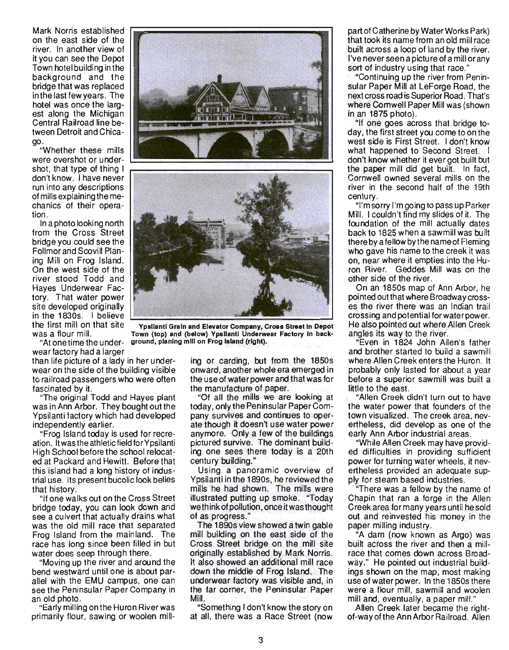Mark Norris established on the east side of the river. In another view of it you can see the Depot Town hotel building in the background and the bridge that was replaced in the last few years. The hotel was once the largest along the Michigan Central Railroad line between Detroit and Chicago.

"Whether these mills were overshot or undershot, that type of thing I don't know. I have never run into any descriptions of mills explaining the mechanics of their operation.

In a photo looking north from the Cross Street bridge you could see the Follmor and Scovill Planing Mill on Frog Island. On the west side of the river stood Todd and Hayes Underwear Factory. That water power site developed originally in the 1830s. I believe

wear factory had a larger

than life picture of a lady in her underwear on the side of the building visible to railroad passengers who were often fascinated by it.

"The original Todd and Hayes plant was in Ann Arbor. They bought out the Ypsilanti factory which had developed independently earlier.

"Frog Island today is used for recreation. It was the athletic field for Ypsilanti High School before the school relocated at Packard and Hewitt. Before that this island had a long history of industrial use. Its present bucolic look belies that history.

"If one walks out on the Cross Street bridge today, you can look down and see a culvert that actually drains what was the old mill race that separated Frog Island from the mainland. The race has long since been filled in but water does seep through there.

"Moving up the river and around the bend westward until one is about parallel with the EMU campus, one can see the Peninsular Paper Company in an old photo.

"Early milling on the Huron River was primarily flour, sawing or woolen milling or carding, but from the 1850s onward, another whole era emerged in the use of water power and that was for the manufacture of paper.

"Of all the mills we are looking at today, only the Peninsular Paper Company survives and continues to operate though it doesn't use water power anymore. Only a few of the buildings pictured survive. The dominant building one sees there today is a 20th century building."

Using a panoramic overview of Ypsilanti in the 1890s, he reviewed the mills he had shown. The mills were illustrated putting up smoke. "Today we think of pollution, once it was thought of as progress."

The 1890s view showed a twin gable mill building on the east side of the Cross Street bridge on the mill site originally established by Mark Norris. It also showed an additional mill race down the middle of Frog Island. The underwear factory was visible and, in the far corner, the Peninsular Paper Mill.

"Something I don't know the story on at all, there was a Race Street (now

3

part of Catherine by Water Works Park) that took its name from an old mill race built across a loop of land by the river. I've never seen a picture of a mill or any sort of industry using that race."

"Continuing up the river from Peninsular Paper Mill at LeForge Road, the next cross road is Superior Road. That's where Comwell Paper Mill was (shown in an 1875 photo).

"If one goes across that bridge today, the first street you come to on the west side is First Street. I don't know what happened to Second Street. I don't know whether it ever got built but the paper mill did get built. In fact, Cornwell owned several mills on the river in the second half of the 19th century.

"I'm sorry I'm goingto pass up Parker Mill. I couldn't find my slides of it. The foundation of the mill actually dates back to 1825 when a sawmill was built there by a fellow by the name of Fleming who gave his name to the creek it was on, near where it empties into the Huron River. Geddes Mill was on the other side of the river.

On an 1850s map of Ann Arbor, he pointed out that where Broadway crosses the river there was an Indian trail crossing and potential for water power. He also pointed out where Allen Creek angles its way to the river.

"Even in 1824 John Allen's father and brother started to build a sawmill where Allen Creek enters the Huron. It probably only lasted for about a year before a superior sawmill was built a little to the east.

"Allen Creek didn't turn out to have the water power that founders of the town visualized. The creek area, nevertheless, did develop as one of the early Ann Arbor industrial areas.

"While Allen Creek may have provided difficulties in providing sufficient power for turning water wheels, it nevertheless provided an adequate supply for steam based industries.

"There was a fellow by the name of Chapin that ran a forge in the Allen Creek area for many years until he sold out and reinvested his money in the paper milling industry.

"A dam (now known as Argo) was built across the river and then a millrace that comes down across Broadway." He pointed out industrial buildings shown on the map, most making use of water power. In the 1850s there were a flour mill, sawmill and woolen mill and, eventually, a paper mill."

Allen Creek later became the rightof-way oft he Ann Arbor Railroad. Allen

the first mill on that site Ypsilanti Grain and Elevator Company, Cross Street in Depot was a flour mill. Town (top) and (below) Ypsilanti Underwear Factory In back- "At one time the under- ground, planing mill on Frog Island (right).



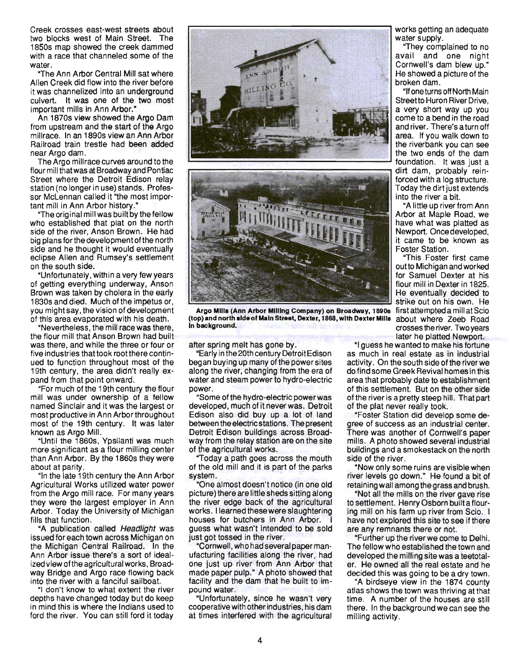Creek crosses east-west streets about two blocks west of Main Street. The 1850s map showed the creek dammed with a race that channeled some of the water.

"The Ann Arbor Central Mill sat where Allen Creek did flow into the river before it was channelized into an underground culvert. It was one of the two most important mills in Ann Arbor."

An 1870s view showed the Argo Dam from upstream and the start of the Argo millrace. In an 1890s view an Ann Arbor Railroad train trestle had been added near Argo dam.

The Argo millrace curves around to the flour mill that was at Broadway and Pontiac Street where the Detroit Edison relay station (no longer in use) stands. Professor McLennan called it "the most important mill in Ann Arbor history."

"The origi nal mill was built by the fellow who established that plat on the north side of the river, Anson Brown. He had big plans for the development ofthe north side and he thought it would eventually eclipse Allen and Rumsey's settlement on the south side.

"Unfortunately, within a very few years of getting everything underway, Anson Brown was taken by cholera in the early 1830s and died. Much of the impetus or, you mightsay, the vision of development of this area evaporated with his death.

"Nevertheless, the mill race was there, the flour mill that Anson Brown had built was there, and while the three or four or five industries that took root there continued to function throughout most of the 19th century, the area didn't really expand from that point onward.

"For much of the 19th century the flour mill was under ownership of a fellow named Sinclair and it was the largest or most productive in Ann Arbor throughout most of the 19th century. It was later known as Argo Mill.

"Until the 1860s, Ypsilanti was much more significant as a flour milling center than Ann Arbor. By the 1860s they were about at parity.

"In the late 19th century the Ann Arbor Agricultural Works utilized water power from the Argo mill race. For many years they were the largest employer in Ann Arbor. Today the University of Michigan fills that function.

"A publication called Headlight was issued for each town across Michigan on the Michigan Central Railroad. In the Ann Arbor issue there's a sort of idealized view ofthe agricultural works, Broadway Bridge and Argo race flowing back into the river with a fanciful sailboat.

"I don't know to what extent the river depths have changed today but do keep in mind this is where the Indians used to ford the river. You can still ford it today





Argo Milia (Ann Arbor Milling Company) on Broadway, 1890a first attempted a mill at Scio (top) and north aide of Main Street, Dexter, 1868, with Dexter Milia about where Zeeb Road In background. Crosses the river. Two years

after spring melt has gone by.

"Early in the 20th centu ry Detroit Edison began buying up many of the power sites along the river, changing from the era of water and steam power to hydro-electric power.

"Some of the hydro-electric power was developed, much of it never was. Detroit Edison also did buy up a lot of land between the electric stations. The present Detroit Edison buildings across Broadway from the relay station are on the site of the agricultural works.

"Today a path goes across the mouth Today a pair good acroco ino modifistem. "One almost doesn't notice (in one old

picture) there are little sheds sitting along the river edge back of the agricultural works. I learned these were slaughtering houses for butchers in Ann Arbor. guess what wasn't intended to be sold just got tossed in the river.

"Cornwell, who had several paper manufacturing facilities along the river, had one just up river from Ann Arbor that made paper pulp." A photo showed that facility and the dam that he built to impound water.

"Unfortunately, since he wasn't very cooperative with other industries, his dam . at times interfered with the agricultural works getting an adequate water supply.

"They complained to no • avail and one night Cornwell's dam blew up." He showed a picture of the broken dam.

"Ifoneturns off North Main Streetto Huron River Drive, a very short way up you come to a bend in the road and river. There's a turn off area. If you walk down to the riverbank you can see the two ends of the dam<br>foundation. It was just a dirt dam, probably reinforced with a log structure. Today the dirt just extends into the river a bit.

"A little up river from Ann Arbor at Maple Road, we have what was platted as Newport. Once developed, it came to be known as Foster Station.

"This Foster first came outto Michigan and worked for Samuel Dexter at his flour mill in Dexter in 1825. He eventually decided to strike out on his own. He later he platted Newport.

"I guess he wanted to make his fortune as much in real estate as in industrial activity. On the south side of the river we do find some Greek Revival homes in this area that probably date to establishment of this settlement. But on the other side of the river is a pretty steep hill. That part of the plat never really took.

"Foster Station did develop some degree of success as an industrial center. There was another of Cornwell's paper mills. A photo showed several industrial buildings and a smokestack on the north side of the river.

"Now only some ruins are visible when river levels go down." He found a bit of retaining wall among the grass and brush.

"Not all the mills on the river gave rise to settlement. Henry Osborn built a flouring mill on his farm up river from Scio. I have not explored this site to see if there are any remnants there or not.

"Further up the riverwe come to Delhi. The fellow who established the town and developed the milling site was a teetotaler. He owned all the real estate and he decided this was going to be a dry town.

"A birdseye view in the 1874 county atlas shows the town was thriving at that time. A number of the houses are still there. In the background we can see the milling activity.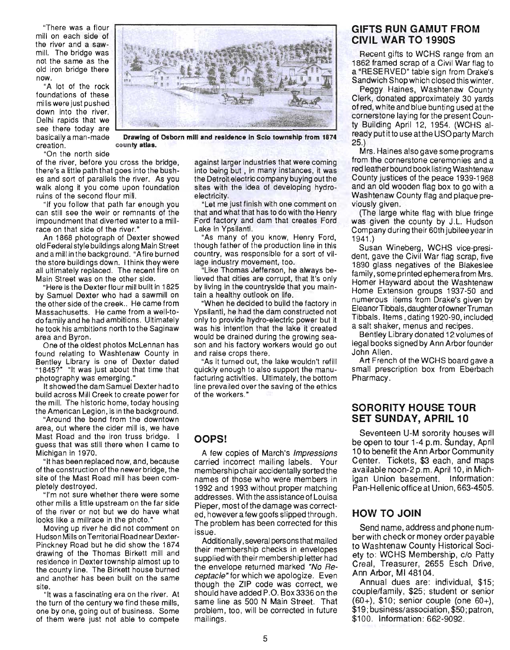"There was a flour mill on each side of the river and a sawmill. The bridge was not the same as the old iron bridge there now.

"A lot of the rock foundations of these mills were just pushed<br>down into the river. down into the river.<br>Delhi rapids that we see there today are<br>basically a man-made creation.

"On the north side

of the river, before you cross the bridge, there's a little path that goes into the bushes and sort of parallels the river. As you walk along it you come upon foundation ruins of the second flour mill.

county atlas.

"If you follow that path far enough you can still see the weir or remnants of the impoundment that diverted water to a millrace on that side of the river."

An 1868 photograph of Dexter showed old Federal style buildings along Main Street and a mill in the background. "A fire burned the store buildings down. I think they were all ultimately replaced. The recent fire on Main Street was on the other side.

"Here is the Dexterflour mill built in 1825 by Samuel Dexter who had a sawmill on the other side of the creek .. He came from Massachusetts. He came from a well-todo family and he had ambitions. Ultimately he took his ambitions north to the Saginaw area and Byron.

One of the oldest photos McLennan has found relating to Washtenaw County in Bentley Library is one of Dexter dated "1845?" "It was just about that time that photography was emerging."

It showed the dam Samuel Dexter had to build across Mill Creek to create power for the mill. The historic home, today housing the American Legion, is in the background.

"Around the bend from the downtown area, out where the cider mill is, we have Mast Road and the iron truss bridge. I guess that was still there when I came to Michigan in 1970.

"It has been replaced now, and, because of the construction of the newer bridge, the site of the Mast Road mill has been completely destroyed.

"I'm not sure whether there were some other mills a little upstream on the far side of the river or not but we do have what looks like a millrace in the photo.'

Moving up river he did not comment on Hudson Mills on Territorial Road near Dexter-Pinckney Road but he did show the 1874 drawing of the Thomas Birkett mill and residence in Dextertownship almost up to the county line. The Birkett house burned and another has been built on the same site.

"It was a fascinating era on the river. At the turn of the century we find these mills, one by one, going out of business. Some of them were just not able to compete

against larger industries that were coming into being but, in many instances, it was the Detroit electric company buying out the sites with the idea of developing hydroelectricity.

that and what that has to do with the Henry Ford factory and dam that creates Ford Lake in Ypsilanti.

"As many of you know, Henry Ford, though father of the production line in this country, was responsible for a sort of village industry movement, too.

"Like Thomas Jefferson, he always believed that cities are corrupt, that it's only by living in the countryside that you maintain a healthy outlook on life.

"When he decided to build the factory in Ypsilanti, he had the dam constructed not only to provide hydro-electric power but it was his intention that the lake it created would be drained during the growing season and his factory workers would go out and raise crops there.

"As it turned out, the lake wouldn't refill quickly enough to also support the manufacturing activities. Ultimately, the bottom line prevailed overthe saving of the ethics of the workers."

#### **OOPS!**

A few copies of March's Impressions carried incorrect mailing labels. Your membership chair accidentally sorted the names of those who were members in 1992 and 1993 without proper matching addresses. With the assistance of Louisa Pieper, most of the damage was corrected, however a few goofs slipped through. The problem has been corrected for this issue.

Additionally, several persons that mailed their membership checks in envelopes supplied with their membership letter had the envelope returned marked "No  $Re$ ceptacle" for which we apologize. Even though the ZIP code was correct. we should have added P.O. Box 3336 on the same line as 500 N Main Street. That problem, too, will be corrected in future mailings.

#### **GIFTS RUN GAMUT FROM CIVIL WAR TO 1990S**

Recent gifts to WCHS range from an 1862 framed scrap of a Civil War flag to a "RESERVED" table sign from Drake's Sandwich Shop which closed this winter.

Peggy Haines, Washtenaw County Clerk, donated approximately 30 yards of red, white and blue bunting used atthe cornerstone laying for the present County Building April 12, 1954. (WCHS already putit to use atthe USOparty March 25.)

Mrs. Haines also gave some programs from the cornerstone ceremonies and a red leather bound book listing Washtenaw County justices of the peace 1939-1968 and an old wooden flag box to go with a Washtenaw County flag and plaque previously given.

(The large white flag with blue fringe was given the county by J.L. Hudson Company during their 60th jubilee year in 1941 .)

Susan Wineberg, WCHS vice-president, gave the Civil War flag scrap, five 1890 glass negatives of the Blakeslee family , some printed ephemera from Mrs. Homer Hayward about the Washtenaw Home Extension groups 1937-50 and numerous items from Drake's given by Eleanor Tibbals, daughter of owner Truman Tibbals. Items, dating 1920-90, included. a salt shaker. menus and recipes .

Bentley Library donated 12 volumes of legal books signed by Ann Arbor founder John Allen.

Art French of the WCHS board gave a small prescription box from Eberbach Pharmacy.

#### **SORORITY HOUSE TOUR SET SUNDAY, APRIL 10**

Seventeen U-M sorority houses will be open to tour 1-4 p.m. Sunday, April 10 to benefit the Ann Arbor Community Center. Tickets, \$3 each, and maps available noon-2 p.m. April 10, in Michigan Union basement. Information: Pan-Hellenic office at Union, 663-4505.

### HOW TO **JOIN**

Send name, address and phone number with check or money order payable to Washtenaw County Historical Society to: WCHS Membership. c/o Patty Creal, Treasurer, 2655 Esch Drive, Ann Arbor, MI 48104.

Annual dues are: individual, \$15; couple/family. \$25; student or senior  $(60+)$ , \$10; senior couple (one  $60+)$ , \$19; business/association, \$50; patron, \$100. Information: 662-9092.

"Let me just finish with one comment on



Drawing of Osborn mill and residence in Sclo township from 1874